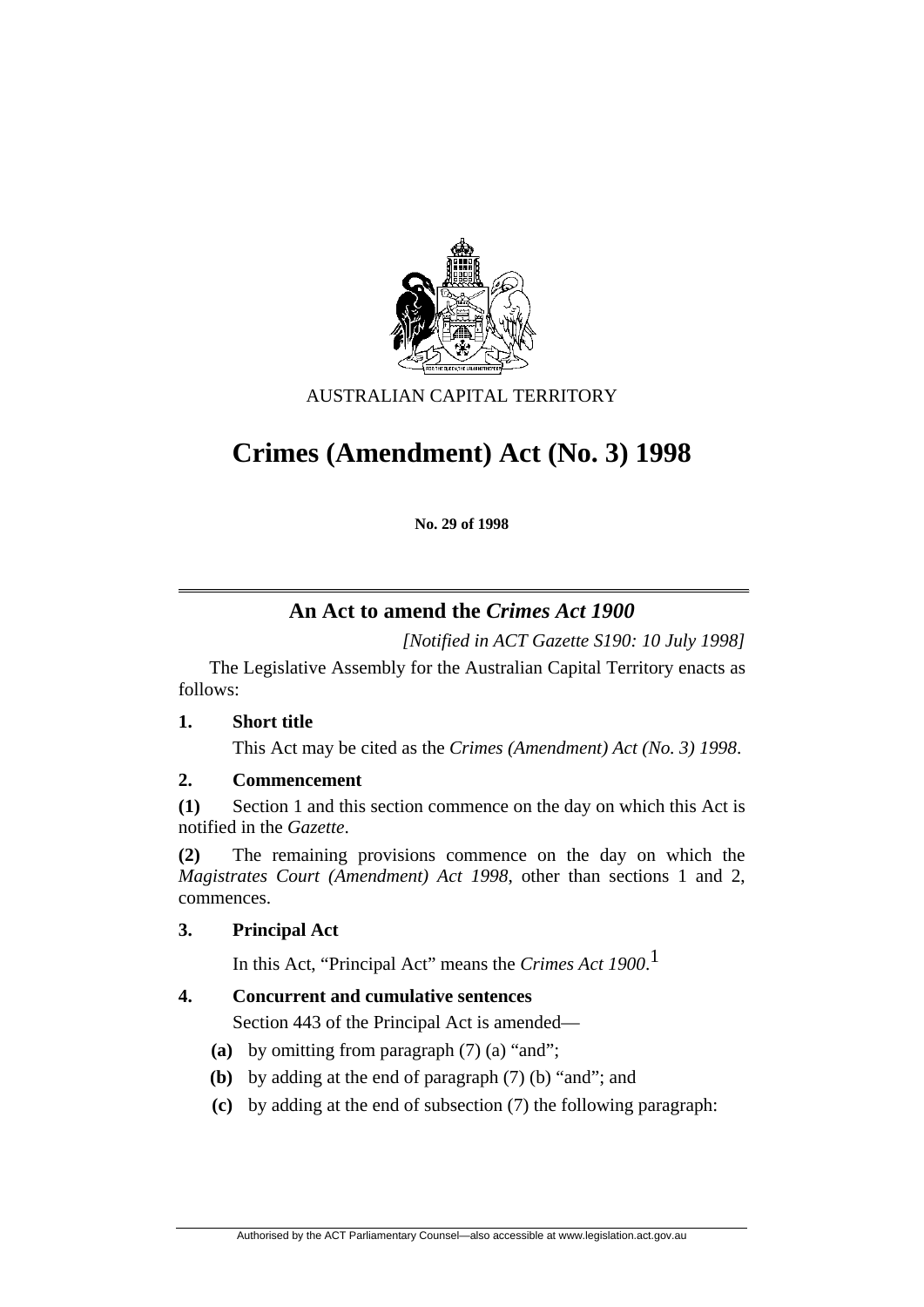

AUSTRALIAN CAPITAL TERRITORY

# **Crimes (Amendment) Act (No. 3) 1998**

**No. 29 of 1998** 

# **An Act to amend the** *Crimes Act 1900*

*[Notified in ACT Gazette S190: 10 July 1998]*

 The Legislative Assembly for the Australian Capital Territory enacts as follows:

# **1. Short title**

This Act may be cited as the *Crimes (Amendment) Act (No. 3) 1998*.

# **2. Commencement**

**(1)** Section 1 and this section commence on the day on which this Act is notified in the *Gazette*.

**(2)** The remaining provisions commence on the day on which the *Magistrates Court (Amendment) Act 1998*, other than sections 1 and 2, commences.

# **3. Principal Act**

In this Act, "Principal Act" means the *Crimes Act 1900*. 1

# **4. Concurrent and cumulative sentences**

Section 443 of the Principal Act is amended—

- **(a)** by omitting from paragraph (7) (a) "and";
- **(b)** by adding at the end of paragraph (7) (b) "and"; and
- **(c)** by adding at the end of subsection (7) the following paragraph: